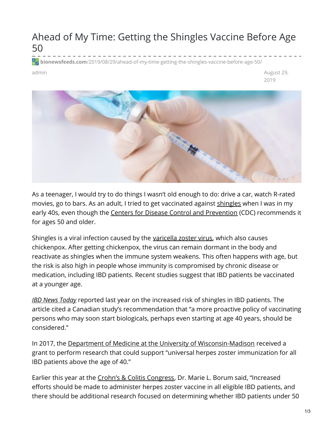## Ahead of My Time: Getting the Shingles Vaccine Before Age 50

**bionewsfeeds.com**[/2019/08/29/ahead-of-my-time-getting-the-shingles-vaccine-before-age-50/](https://bionewsfeeds.com/2019/08/29/ahead-of-my-time-getting-the-shingles-vaccine-before-age-50/)

admin August 29, 2019



As a teenager, I would try to do things I wasn't old enough to do: drive a car, watch R-rated movies, go to bars. As an adult, I tried to get vaccinated against [shingles](https://www.mayoclinic.org/diseases-conditions/shingles/symptoms-causes/syc-20353054) when I was in my early 40s, even though the Centers for Disease Control and [Prevention](https://www.cdc.gov/vaccines/vpd/shingles/public/shingrix/index.html) (CDC) recommends it for ages 50 and older.

Shingles is a viral infection caused by the [varicella](https://www.ncbi.nlm.nih.gov/pmc/articles/PMC2919834/) zoster virus, which also causes chickenpox. After getting chickenpox, the virus can remain dormant in the body and reactivate as shingles when the immune system weakens. This often happens with age, but the risk is also high in people whose immunity is compromised by chronic disease or medication, including IBD patients. Recent studies suggest that IBD patients be vaccinated at a younger age.

*IBD News [Today](https://ibdnewstoday.com/2018/08/09/ibd-increases-risk-herpes-zoster-infection-more-vaccinations-needed/)* reported last year on the increased risk of shingles in IBD patients. The article cited a Canadian study's recommendation that "a more proactive policy of vaccinating persons who may soon start biologicals, perhaps even starting at age 40 years, should be considered."

In 2017, the Department of Medicine at the University of [Wisconsin-Madison](https://vitalsigns.medicine.wisc.edu/funding-awarded-research-ibd-and-shingles) received a grant to perform research that could support "universal herpes zoster immunization for all IBD patients above the age of 40."

Earlier this year at the Crohn's & Colitis [Congress](https://www.mdedge.com/internalmedicine/article/194238/gastroenterology/herpes-zoster-could-pose-special-threat-younger-ibd), Dr. Marie L. Borum said, "Increased efforts should be made to administer herpes zoster vaccine in all eligible IBD patients, and there should be additional research focused on determining whether IBD patients under 50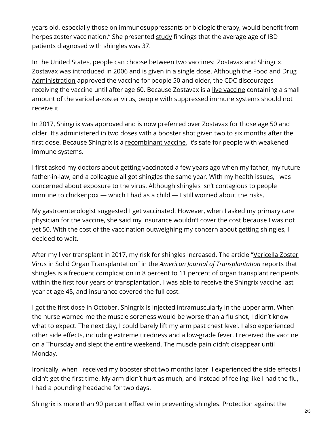years old, especially those on immunosuppressants or biologic therapy, would benefit from herpes zoster vaccination." She presented [study](https://academic.oup.com/ibdjournal/article-abstract/25/Supplement_1/S32/5308175?redirectedFrom=fulltext) findings that the average age of IBD patients diagnosed with shingles was 37.

In the United States, people can choose between two vaccines: **[Zostavax](https://www.cdc.gov/vaccines/vpd/shingles/public/zostavax/index.html)** and Shingrix. Zostavax was introduced in 2006 and is given in a single dose. Although the Food and Drug [Administration](https://www.fda.gov/vaccines-blood-biologics/vaccines/zostavax-herpes-zoster-vaccine-questions-and-answers) approved the vaccine for people 50 and older, the CDC discourages receiving the [vaccine](https://www.vaccines.gov/basics/types) until after age 60. Because Zostavax is a live vaccine containing a small amount of the varicella-zoster virus, people with suppressed immune systems should not receive it.

In 2017, Shingrix was approved and is now preferred over Zostavax for those age 50 and older. It's administered in two doses with a booster shot given two to six months after the first dose. Because Shingrix is a [recombinant](https://www.vaccines.gov/basics/types) vaccine, it's safe for people with weakened immune systems.

I first asked my doctors about getting vaccinated a few years ago when my father, my future father-in-law, and a colleague all got shingles the same year. With my health issues, I was concerned about exposure to the virus. Although shingles isn't contagious to people immune to chickenpox — which I had as a child — I still worried about the risks.

My gastroenterologist suggested I get vaccinated. However, when I asked my primary care physician for the vaccine, she said my insurance wouldn't cover the cost because I was not yet 50. With the cost of the vaccination outweighing my concern about getting shingles, I decided to wait.

After my liver transplant in 2017, my risk for shingles increased. The article "Varicella Zoster Virus in Solid Organ [Transplantation"](https://onlinelibrary.wiley.com/doi/full/10.1111/ajt.12107) in the *American Journal of Transplantation* reports that shingles is a frequent complication in 8 percent to 11 percent of organ transplant recipients within the first four years of transplantation. I was able to receive the Shingrix vaccine last year at age 45, and insurance covered the full cost.

I got the first dose in October. Shingrix is injected intramuscularly in the upper arm. When the nurse warned me the muscle soreness would be worse than a flu shot, I didn't know what to expect. The next day, I could barely lift my arm past chest level. I also experienced other side effects, including extreme tiredness and a low-grade fever. I received the vaccine on a Thursday and slept the entire weekend. The muscle pain didn't disappear until Monday.

Ironically, when I received my booster shot two months later, I experienced the side effects I didn't get the first time. My arm didn't hurt as much, and instead of feeling like I had the flu, I had a pounding headache for two days.

Shingrix is more than 90 percent effective in preventing shingles. Protection against the